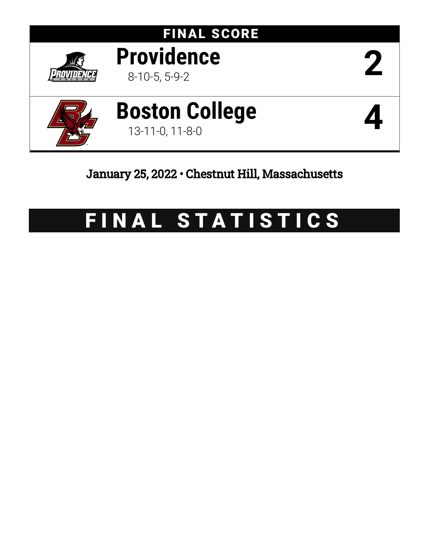

# FINAL STATISTICS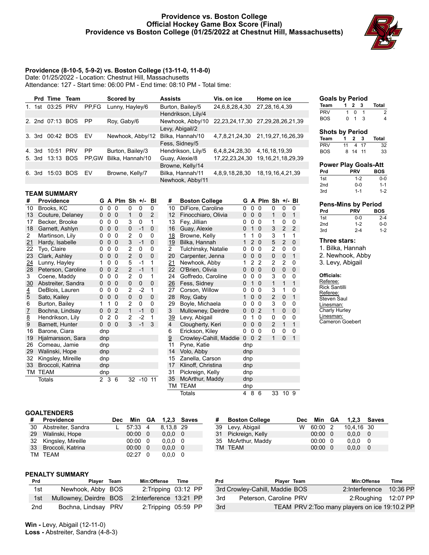## **Providence vs. Boston College Official Hockey Game Box Score (Final) Providence vs Boston College (01/25/2022 at Chestnut Hill, Massachusetts)**



# **Providence (8-10-5, 5-9-2) vs. Boston College (13-11-0, 11-8-0)**

Date: 01/25/2022 - Location: Chestnut Hill, Massachusetts

Attendance: 127 - Start time: 06:00 PM - End time: 08:10 PM - Total time:

|    |        | <b>Prd Time Team</b> |           | Scored by        | <b>Assists</b>     | Vis. on ice    | Home on ice                               |
|----|--------|----------------------|-----------|------------------|--------------------|----------------|-------------------------------------------|
| 1. | 1st    | 03:25 PRV            | PP.FG     | Lunny, Hayley/6  | Burton, Bailey/5   | 24,6,8,28,4,30 | 27, 28, 16, 4, 39                         |
|    |        |                      |           |                  | Hendrikson, Lily/4 |                |                                           |
|    |        | 2. 2nd 07:13 BOS     | <b>PP</b> | Roy, Gaby/6      | Newhook, Abby/10   |                | 22, 23, 24, 17, 30 27, 29, 28, 26, 21, 39 |
|    |        |                      |           |                  | Levy, Abigail/2    |                |                                           |
|    | 3. 3rd | 00:42 BOS            | EV        | Newhook, Abby/12 | Bilka, Hannah/10   | 4,7,8,21,24,30 | 21, 19, 27, 16, 26, 39                    |
|    |        |                      |           |                  | Fess, Sidney/5     |                |                                           |
|    | 4. 3rd | 10:51 PRV            | <b>PP</b> | Burton, Bailey/3 | Hendrikson, Lily/5 | 6,4,8,24,28,30 | 4, 16, 18, 19, 39                         |
|    | 5. 3rd | 13:13 BOS            | PP.GW     | Bilka, Hannah/10 | Guay, Alexie/8     | 17,22,23,24,30 | 19, 16, 21, 18, 29, 39                    |
|    |        |                      |           |                  | Browne, Kelly/14   |                |                                           |
|    | 6. 3rd | 15:03 BOS            | EV        | Browne, Kelly/7  | Bilka, Hannah/11   | 4,8,9,18,28,30 | 18, 19, 16, 4, 21, 39                     |
|    |        |                      |           |                  | Newhook, Abby/11   |                |                                           |

# **TEAM SUMMARY**

| #             | <b>Providence</b>  | G           |                | A Plm          | $Sh +/-$       |              | BI             | #              | <b>Boston College</b>  | G        |                | A Plm Sh       |                | +/- BI         |                |
|---------------|--------------------|-------------|----------------|----------------|----------------|--------------|----------------|----------------|------------------------|----------|----------------|----------------|----------------|----------------|----------------|
| 10            | Brooks, KC         | 0           | $\mathbf{0}$   | $\Omega$       | 0              | $\Omega$     | $\Omega$       | 10             | DiFiore, Caroline      | 0        | 0              | $\Omega$       | $\Omega$       | $\Omega$       | $\Omega$       |
| 13            | Couture, Delaney   | 0           | $\mathbf 0$    | $\Omega$       | 1              | 0            | $\overline{2}$ | 12             | Finocchiaro, Olivia    | 0        | 0              | $\Omega$       | 1              | $\Omega$       | 1              |
| 17            | Becker, Brooke     | 0           | 0              | $\mathbf{0}$   | 3              | $\Omega$     | 1              | 13             | Fey, Jillian           | 0        | 0              | $\Omega$       | 1              | 0              | 0              |
| 18            | Garnett, Ashlyn    | 0           | $\mathbf 0$    | $\mathbf 0$    | $\mathbf 0$    | $-1$         | $\mathbf{0}$   | 16             | Guay, Alexie           | 0        | $\overline{1}$ | $\mathbf 0$    | 3              | $\overline{2}$ | $\overline{2}$ |
| 2             | Martinson, Lily    | 0           | 0              | $\mathbf{0}$   | $\overline{2}$ | 0            | 0              | 18             | Browne, Kelly          |          |                | $\Omega$       | 3              | 1              | 1              |
| 21            | Hardy, Isabelle    | $\Omega$    | $\mathbf 0$    | $\Omega$       | 3              | $-1$         | 0              | 19             | Bilka, Hannah          | 1        | $2^{\circ}$    | $\Omega$       | 5              | $\overline{2}$ | $\Omega$       |
| 22            | Tyo, Claire        | 0           | 0              | $\Omega$       | $\mathfrak{p}$ | $\mathbf{0}$ | 0              | $\overline{2}$ | Tulchinsky, Natalie    | 0        | 0              | 0              | 2              | 0              | $\mathbf{0}$   |
| 23            | Clark, Ashley      | 0           | $\mathbf 0$    | $\mathbf 0$    | $\overline{2}$ | $\mathbf 0$  | $\mathbf 0$    | 20             | Carpenter, Jenna       | 0        | 0              | $\mathbf 0$    | 0              | $\mathbf 0$    | 1              |
| 24            | Lunny, Hayley      | 1           | 0              | 0              | 5              | $-1$         | 1              | <u>21</u>      | Newhook, Abby          | 1        | $\overline{2}$ | 2              | $\overline{2}$ | $\overline{2}$ | 0              |
| 28            | Peterson, Caroline | $\Omega$    | $\Omega$       | $\overline{2}$ | $\overline{2}$ | $-1$         | $\overline{1}$ | 22             | O'Brien, Olivia        | $\Omega$ | 0              | $\Omega$       | 0              | 0              | $\mathbf 0$    |
| 3             | Coene, Maddy       | 0           | 0              | $\mathbf{0}$   | $\overline{2}$ | 0            | 1              | 24             | Goffredo, Caroline     | 0        | 0              | $\Omega$       | 3              | 0              | 0              |
| 30            | Abstreiter, Sandra | $\mathbf 0$ | $\mathbf 0$    | $\mathbf 0$    | 0              | 0            | $\mathbf 0$    | 26             | Fess, Sidney           | 0        | 1              | $\Omega$       | 1              | 1              | 1              |
| $\frac{4}{5}$ | DeBlois, Lauren    | 0           | 0              | 0              | $\overline{2}$ | $-2$         | 1              | 27             | Corson, Willow         | 0        | 0              | 0              | 3              | 1              | 0              |
|               | Sato, Kailey       | 0           | $\mathbf 0$    | $\mathbf 0$    | 0              | 0            | $\mathbf{0}$   | 28             | Roy, Gaby              | 1        | 0              | $\Omega$       | $\overline{2}$ | $\mathbf 0$    | 1              |
| 6             | Burton, Bailey     | 1           |                | 0              | 2              | 0            | 0              | 29             | Boyle, Michaela        | 0        | 0              | 0              | 3              | 0              | 0              |
| $\frac{7}{8}$ | Bochna, Lindsay    | $\Omega$    | $\mathbf 0$    | $\overline{2}$ | $\mathbf{1}$   | $-1$         | $\mathbf 0$    | 3              | Mullowney, Deirdre     | $\Omega$ | 0              | 2              | 1              | $\mathbf 0$    | $\Omega$       |
|               | Hendrikson, Lily   | 0           | $\overline{2}$ | $\Omega$       | $\overline{2}$ | $-2$         | 1              | 39             | Levy, Abigail          | 0        |                | $\Omega$       | 0              | 0              | $\mathbf{0}$   |
| 9             | Barnett, Hunter    | $\Omega$    | $\Omega$       | $\Omega$       | 3              | $-1$         | 3              | $\overline{4}$ | Clougherty, Keri       | 0        | 0              | $\Omega$       | $\overline{2}$ | 1              | 1              |
| 16            | Barone, Ciara      | dnp         |                |                |                |              |                | 6              | Erickson, Kiley        | 0        | 0              | $\Omega$       | 0              | 0              | 0              |
| 19            | Hjalmarsson, Sara  | dnp         |                |                |                |              |                | 9              | Crowley-Cahill, Maddie | $\Omega$ | $\Omega$       | $\overline{2}$ | 1              | 0              | $\mathbf 1$    |
| 26            | Comeau, Jamie      | dnp         |                |                |                |              |                | 11             | Pyne, Katie            | dnp      |                |                |                |                |                |
| 29            | Walinski, Hope     | dnp         |                |                |                |              |                | 14             | Volo, Abby             | dnp      |                |                |                |                |                |
| 32            | Kingsley, Mireille | dnp         |                |                |                |              |                | 15             | Zanella, Carson        | dnp      |                |                |                |                |                |
| 33            | Broccoli, Katrina  | dnp         |                |                |                |              |                | 17             | Klinoff, Christina     | dnp      |                |                |                |                |                |
|               | TM TEAM            | dnp         |                |                |                |              |                | 31             | Pickreign, Kelly       | dnp      |                |                |                |                |                |
|               | Totals             |             | 2 <sub>3</sub> | 6              |                | 32 -10 11    |                | 35             | McArthur, Maddy        | dnp      |                |                |                |                |                |
|               |                    |             |                |                |                |              |                | TM             | <b>TEAM</b>            | dnp      |                |                |                |                |                |
|               |                    |             |                |                |                |              |                |                | Totals                 | 4        | 8              | 6              | 33             | 10 9           |                |

# **Goals by Period Team 1 2 3 Total** PRV 1 0 1 2 BOS 0 1 3 4

# **Shots by Period**

| Team |    | 2 3     |      | Total |
|------|----|---------|------|-------|
| PRV  | 11 |         | 4 17 | 32    |
| BOS  |    | 8 14 11 |      | 33    |

#### **Power Play Goals-Att**<br>**Prd PRV** BOS **Prd PRV BOS** 1st 1-2 0-0 2nd 0-0 1-1 3rd 1-1 1-2

#### **Pens-Mins by Period PRV** 1st 0-0 2-4<br>2nd 1-2 0-0 1-2 0-0

3rd 2-4 1-2

# **Three stars:**

1. Bilka, Hannah 2. Newhook, Abby

3. Levy, Abigail

#### **Officials:**

Referee: Rick Santilli Referee: Steven Saul Linesman: Charly Hurley Linesman: Cameron Goebert

# **GOALTENDERS**

| #  | <b>Providence</b>     | <b>Dec</b> | Min GA  |          |           | 1,2,3 Saves |
|----|-----------------------|------------|---------|----------|-----------|-------------|
| 30 | Abstreiter, Sandra    |            | 57:33 4 |          | 8.13.8 29 |             |
| 29 | Walinski, Hope        |            | 00:00   | $\Omega$ | 0.0.0     | - 0         |
|    | 32 Kingsley, Mireille |            | 00:00   | - 0      | 0.0.0     | - 0         |
| 33 | Broccoli, Katrina     |            | 00:00   | 0        | 0.0.0     | 0           |
| тм | TFAM                  |            | 02.27   | n        | 0.0.0     | 0           |

| # | <b>Boston College</b> | <b>Dec</b> | Min GA          |     | 1.2,3 Saves |                          |
|---|-----------------------|------------|-----------------|-----|-------------|--------------------------|
|   | 39 Levy, Abigail      | w          | 60:002          |     | 10.4.16 30  |                          |
|   | 31 Pickreign, Kelly   |            | $00:00 \quad 0$ |     | 0.0.0       | $\overline{\phantom{0}}$ |
|   | 35 McArthur, Maddy    |            | $00:00 \quad 0$ |     | 0.0.0       | - 0                      |
|   | TM TEAM               |            | 00:00           | - 0 | 0,0,0       | 0                        |

# **PENALTY SUMMARY**

| Prd | Player Team            | Min:Offense             | <b>Time</b> |  |
|-----|------------------------|-------------------------|-------------|--|
| 1st | Newhook, Abby BOS      | 2:Tripping 03:12 PP     |             |  |
| 1st | Mullowney, Deirdre BOS | 2:Interference 13:21 PP |             |  |
| 2nd | Bochna, Lindsay PRV    | 2:Tripping 05:59 PP     |             |  |

| Prd | Player Team                    | Min:Offense                                    | Time       |
|-----|--------------------------------|------------------------------------------------|------------|
|     | 3rd Crowley-Cahill, Maddie BOS | 2:Interference                                 | $10:36$ PP |
| 3rd | Peterson, Caroline PRV         | 2:Roughing 12:07 PP                            |            |
| 3rd |                                | TEAM PRV 2: Too many players on ice 19:10.2 PP |            |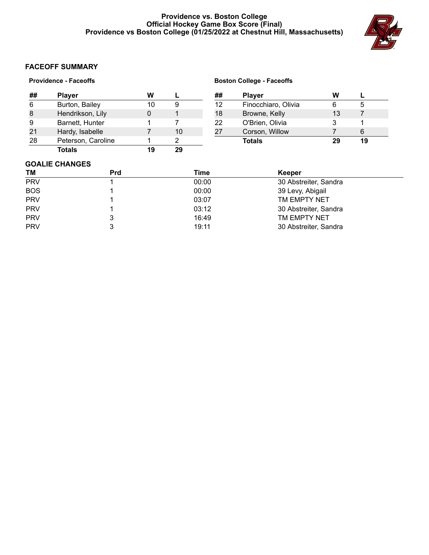# **Providence vs. Boston College Official Hockey Game Box Score (Final) Providence vs Boston College (01/25/2022 at Chestnut Hill, Massachusetts)**



# **FACEOFF SUMMARY**

| <b>Providence - Faceoffs</b> |  |
|------------------------------|--|
|------------------------------|--|

| ## | <b>Player</b>      | w   |    |
|----|--------------------|-----|----|
| 6  | Burton, Bailey     | 10  |    |
| 8  | Hendrikson, Lily   |     |    |
| 9  | Barnett, Hunter    |     |    |
| 21 | Hardy, Isabelle    |     | 10 |
| 28 | Peterson, Caroline |     |    |
|    | Totals             | 1 Q |    |

# **Boston College - Faceoffs**

| ## | <b>Player</b>       | w  |    |  |
|----|---------------------|----|----|--|
| 12 | Finocchiaro, Olivia | 6  | ۰. |  |
| 18 | Browne, Kelly       | 13 |    |  |
| 22 | O'Brien, Olivia     | З  |    |  |
| 27 | Corson, Willow      |    | 6  |  |
|    | <b>Totals</b>       | 29 | 19 |  |

# **GOALIE CHANGES**

| TМ         | Prd | Time  | Keeper                |  |
|------------|-----|-------|-----------------------|--|
| <b>PRV</b> |     | 00:00 | 30 Abstreiter, Sandra |  |
| <b>BOS</b> |     | 00:00 | 39 Levy, Abigail      |  |
| <b>PRV</b> |     | 03:07 | TM EMPTY NET          |  |
| <b>PRV</b> |     | 03:12 | 30 Abstreiter, Sandra |  |
| <b>PRV</b> |     | 16:49 | TM EMPTY NET          |  |
| <b>PRV</b> |     | 19:11 | 30 Abstreiter, Sandra |  |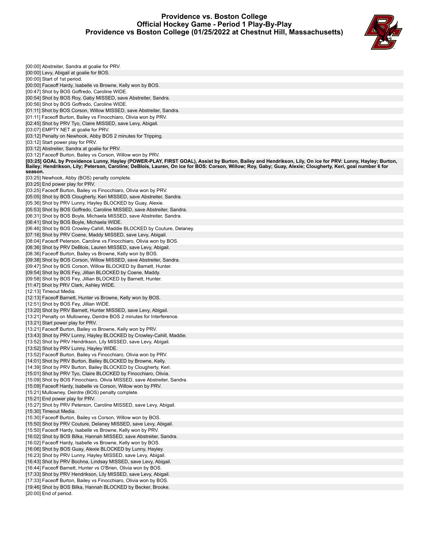## **Providence vs. Boston College Official Hockey Game - Period 1 Play-By-Play Providence vs Boston College (01/25/2022 at Chestnut Hill, Massachusetts)**



| [00:00] Abstreiter, Sandra at goalie for PRV.                                                                                                                                                                                                                                                                           |
|-------------------------------------------------------------------------------------------------------------------------------------------------------------------------------------------------------------------------------------------------------------------------------------------------------------------------|
| [00:00] Levy, Abigail at goalie for BOS.                                                                                                                                                                                                                                                                                |
| [00:00] Start of 1st period.                                                                                                                                                                                                                                                                                            |
| [00:00] Faceoff Hardy, Isabelle vs Browne, Kelly won by BOS.                                                                                                                                                                                                                                                            |
| [00:47] Shot by BOS Goffredo, Caroline WIDE.<br>[00:54] Shot by BOS Roy, Gaby MISSED, save Abstreiter, Sandra.                                                                                                                                                                                                          |
| [00:56] Shot by BOS Goffredo, Caroline WIDE.                                                                                                                                                                                                                                                                            |
| [01:11] Shot by BOS Corson, Willow MISSED, save Abstreiter, Sandra.                                                                                                                                                                                                                                                     |
| [01:11] Faceoff Burton, Bailey vs Finocchiaro, Olivia won by PRV.                                                                                                                                                                                                                                                       |
| [02:45] Shot by PRV Tyo, Claire MISSED, save Levy, Abigail.                                                                                                                                                                                                                                                             |
| [03:07] EMPTY NET at goalie for PRV.                                                                                                                                                                                                                                                                                    |
| [03:12] Penalty on Newhook, Abby BOS 2 minutes for Tripping.<br>[03:12] Start power play for PRV.                                                                                                                                                                                                                       |
| [03:12] Abstreiter, Sandra at goalie for PRV.                                                                                                                                                                                                                                                                           |
| [03:12] Faceoff Burton, Bailey vs Corson, Willow won by PRV.                                                                                                                                                                                                                                                            |
| [03:25] GOAL by Providence Lunny, Hayley (POWER-PLAY, FIRST GOAL), Assist by Burton, Bailey and Hendrikson, Lily, On ice for PRV: Lunny, Hayley; Burton,<br>Bailey; Hendrikson, Lily; Peterson, Caroline; DeBlois, Lauren, On ice for BOS: Corson, Willow; Roy, Gaby; Guay, Alexie; Clougherty, Keri, goal number 6 for |
| season.                                                                                                                                                                                                                                                                                                                 |
| [03:25] Newhook, Abby (BOS) penalty complete.                                                                                                                                                                                                                                                                           |
| [03:25] End power play for PRV.                                                                                                                                                                                                                                                                                         |
| [03:25] Faceoff Burton, Bailey vs Finocchiaro, Olivia won by PRV.                                                                                                                                                                                                                                                       |
| [05:05] Shot by BOS Clougherty, Keri MISSED, save Abstreiter, Sandra.<br>[05:36] Shot by PRV Lunny, Hayley BLOCKED by Guay, Alexie.                                                                                                                                                                                     |
| [05:53] Shot by BOS Goffredo, Caroline MISSED, save Abstreiter, Sandra.                                                                                                                                                                                                                                                 |
| [06:31] Shot by BOS Boyle, Michaela MISSED, save Abstreiter, Sandra.                                                                                                                                                                                                                                                    |
| [06:41] Shot by BOS Boyle, Michaela WIDE.                                                                                                                                                                                                                                                                               |
| [06:46] Shot by BOS Crowley-Cahill, Maddie BLOCKED by Couture, Delaney.                                                                                                                                                                                                                                                 |
| [07:16] Shot by PRV Coene, Maddy MISSED, save Levy, Abigail.                                                                                                                                                                                                                                                            |
| [08:04] Faceoff Peterson, Caroline vs Finocchiaro, Olivia won by BOS.<br>[08:36] Shot by PRV DeBlois, Lauren MISSED, save Levy, Abigail.                                                                                                                                                                                |
| [08:36] Faceoff Burton, Bailey vs Browne, Kelly won by BOS.                                                                                                                                                                                                                                                             |
| [09:38] Shot by BOS Corson, Willow MISSED, save Abstreiter, Sandra.                                                                                                                                                                                                                                                     |
| [09:47] Shot by BOS Corson, Willow BLOCKED by Barnett, Hunter.                                                                                                                                                                                                                                                          |
| [09:54] Shot by BOS Fey, Jillian BLOCKED by Coene, Maddy.                                                                                                                                                                                                                                                               |
| [09:58] Shot by BOS Fey, Jillian BLOCKED by Barnett, Hunter.                                                                                                                                                                                                                                                            |
| [11:47] Shot by PRV Clark, Ashley WIDE.<br>[12:13] Timeout Media.                                                                                                                                                                                                                                                       |
| [12:13] Faceoff Barnett, Hunter vs Browne, Kelly won by BOS.                                                                                                                                                                                                                                                            |
| [12:51] Shot by BOS Fey, Jillian WIDE.                                                                                                                                                                                                                                                                                  |
| [13:20] Shot by PRV Barnett, Hunter MISSED, save Levy, Abigail.                                                                                                                                                                                                                                                         |
| [13:21] Penalty on Mullowney, Deirdre BOS 2 minutes for Interference.                                                                                                                                                                                                                                                   |
| [13:21] Start power play for PRV.                                                                                                                                                                                                                                                                                       |
| [13:21] Faceoff Burton, Bailey vs Browne, Kelly won by PRV.<br>[13:43] Shot by PRV Lunny, Hayley BLOCKED by Crowley-Cahill, Maddie.                                                                                                                                                                                     |
| [13:52] Shot by PRV Hendrikson, Lily MISSED, save Levy, Abigail.                                                                                                                                                                                                                                                        |
| [13:52] Shot by PRV Lunny, Hayley WIDE.                                                                                                                                                                                                                                                                                 |
| [13:52] Faceoff Burton, Bailey vs Finocchiaro, Olivia won by PRV.                                                                                                                                                                                                                                                       |
| [14:01] Shot by PRV Burton, Bailey BLOCKED by Browne, Kelly.                                                                                                                                                                                                                                                            |
| [14:39] Shot by PRV Burton, Bailey BLOCKED by Clougherty, Keri.<br>[15:01] Shot by PRV Tyo, Claire BLOCKED by Finocchiaro, Olivia.                                                                                                                                                                                      |
| [15:09] Shot by BOS Finocchiaro, Olivia MISSED, save Abstreiter, Sandra.                                                                                                                                                                                                                                                |
| [15:09] Faceoff Hardy, Isabelle vs Corson, Willow won by PRV.                                                                                                                                                                                                                                                           |
| [15:21] Mullowney, Deirdre (BOS) penalty complete.                                                                                                                                                                                                                                                                      |
| [15:21] End power play for PRV.                                                                                                                                                                                                                                                                                         |
| [15:27] Shot by PRV Peterson, Caroline MISSED, save Levy, Abigail.                                                                                                                                                                                                                                                      |
| [15:30] Timeout Media.<br>[15:30] Faceoff Burton, Bailey vs Corson, Willow won by BOS.                                                                                                                                                                                                                                  |
| [15:50] Shot by PRV Couture, Delaney MISSED, save Levy, Abigail.                                                                                                                                                                                                                                                        |
| [15:50] Faceoff Hardy, Isabelle vs Browne, Kelly won by PRV.                                                                                                                                                                                                                                                            |
| [16:02] Shot by BOS Bilka, Hannah MISSED, save Abstreiter, Sandra.                                                                                                                                                                                                                                                      |
| [16:02] Faceoff Hardy, Isabelle vs Browne, Kelly won by BOS.                                                                                                                                                                                                                                                            |
| [16:06] Shot by BOS Guay, Alexie BLOCKED by Lunny, Hayley.                                                                                                                                                                                                                                                              |
| [16:23] Shot by PRV Lunny, Hayley MISSED, save Levy, Abigail.<br>[16:43] Shot by PRV Bochna, Lindsay MISSED, save Levy, Abigail.                                                                                                                                                                                        |
| [16:44] Faceoff Barnett, Hunter vs O'Brien, Olivia won by BOS.                                                                                                                                                                                                                                                          |
| [17:33] Shot by PRV Hendrikson, Lily MISSED, save Levy, Abigail.                                                                                                                                                                                                                                                        |
| [17:33] Faceoff Burton, Bailey vs Finocchiaro, Olivia won by BOS.                                                                                                                                                                                                                                                       |
| [19:46] Shot by BOS Bilka, Hannah BLOCKED by Becker, Brooke.                                                                                                                                                                                                                                                            |
| [20:00] End of period.                                                                                                                                                                                                                                                                                                  |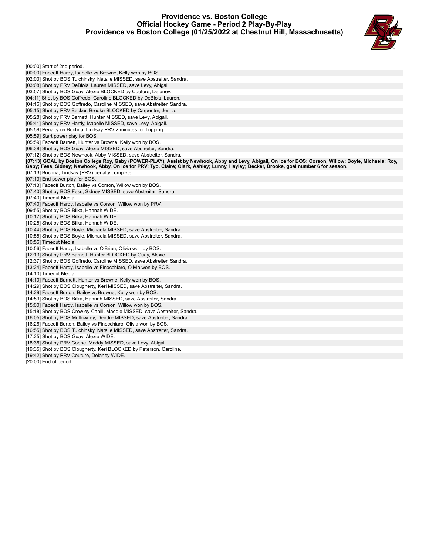## **Providence vs. Boston College Official Hockey Game - Period 2 Play-By-Play Providence vs Boston College (01/25/2022 at Chestnut Hill, Massachusetts)**



| [00:00] Start of 2nd period.                                                                                                                            |
|---------------------------------------------------------------------------------------------------------------------------------------------------------|
| [00:00] Faceoff Hardy, Isabelle vs Browne, Kelly won by BOS.                                                                                            |
| [02:03] Shot by BOS Tulchinsky, Natalie MISSED, save Abstreiter, Sandra.                                                                                |
| [03:08] Shot by PRV DeBlois, Lauren MISSED, save Levy, Abigail.                                                                                         |
| [03:57] Shot by BOS Guay, Alexie BLOCKED by Couture, Delaney.                                                                                           |
| [04:11] Shot by BOS Goffredo, Caroline BLOCKED by DeBlois, Lauren.                                                                                      |
| [04:16] Shot by BOS Goffredo, Caroline MISSED, save Abstreiter, Sandra.                                                                                 |
| [05:15] Shot by PRV Becker, Brooke BLOCKED by Carpenter, Jenna.                                                                                         |
| [05:28] Shot by PRV Barnett, Hunter MISSED, save Levy, Abigail.                                                                                         |
| [05:41] Shot by PRV Hardy, Isabelle MISSED, save Levy, Abigail.                                                                                         |
| [05:59] Penalty on Bochna, Lindsay PRV 2 minutes for Tripping.                                                                                          |
| [05:59] Start power play for BOS.                                                                                                                       |
| [05:59] Faceoff Barnett, Hunter vs Browne, Kelly won by BOS.                                                                                            |
| [06:38] Shot by BOS Guay, Alexie MISSED, save Abstreiter, Sandra.                                                                                       |
| [07:12] Shot by BOS Newhook, Abby MISSED, save Abstreiter, Sandra.                                                                                      |
| [07:13] GOAL by Boston College Roy, Gaby (POWER-PLAY), Assist by Newhook, Abby and Levy, Abigail, On ice for BOS: Corson, Willow; Boyle, Michaela; Roy, |
| Gaby; Fess, Sidney; Newhook, Abby, On ice for PRV: Tyo, Claire; Clark, Ashley; Lunny, Hayley; Becker, Brooke, goal number 6 for season.                 |
| [07:13] Bochna, Lindsay (PRV) penalty complete.                                                                                                         |
| [07:13] End power play for BOS.                                                                                                                         |
| [07:13] Faceoff Burton, Bailey vs Corson, Willow won by BOS.                                                                                            |
| [07:40] Shot by BOS Fess, Sidney MISSED, save Abstreiter, Sandra.                                                                                       |
| [07:40] Timeout Media.                                                                                                                                  |
| [07:40] Faceoff Hardy, Isabelle vs Corson, Willow won by PRV.                                                                                           |
| [09:55] Shot by BOS Bilka, Hannah WIDE.                                                                                                                 |
| [10:17] Shot by BOS Bilka, Hannah WIDE.                                                                                                                 |
| [10:25] Shot by BOS Bilka, Hannah WIDE.                                                                                                                 |
| [10:44] Shot by BOS Boyle, Michaela MISSED, save Abstreiter, Sandra.                                                                                    |
| [10:55] Shot by BOS Boyle, Michaela MISSED, save Abstreiter, Sandra.                                                                                    |
| [10:56] Timeout Media.                                                                                                                                  |
| [10:56] Faceoff Hardy, Isabelle vs O'Brien, Olivia won by BOS.                                                                                          |
| [12:13] Shot by PRV Barnett, Hunter BLOCKED by Guay, Alexie.                                                                                            |
| [12:37] Shot by BOS Goffredo, Caroline MISSED, save Abstreiter, Sandra.                                                                                 |
| [13:24] Faceoff Hardy, Isabelle vs Finocchiaro, Olivia won by BOS.                                                                                      |
| [14:10] Timeout Media.                                                                                                                                  |
| [14:10] Faceoff Barnett, Hunter vs Browne, Kelly won by BOS.                                                                                            |
| [14:29] Shot by BOS Clougherty, Keri MISSED, save Abstreiter, Sandra.                                                                                   |
| [14:29] Faceoff Burton, Bailey vs Browne, Kelly won by BOS.                                                                                             |
| [14:59] Shot by BOS Bilka, Hannah MISSED, save Abstreiter, Sandra.                                                                                      |
| [15:00] Faceoff Hardy, Isabelle vs Corson, Willow won by BOS.                                                                                           |
| [15:18] Shot by BOS Crowley-Cahill, Maddie MISSED, save Abstreiter, Sandra.                                                                             |
| [16:05] Shot by BOS Mullowney, Deirdre MISSED, save Abstreiter, Sandra.                                                                                 |
| [16:26] Faceoff Burton, Bailey vs Finocchiaro, Olivia won by BOS.                                                                                       |
| [16:55] Shot by BOS Tulchinsky, Natalie MISSED, save Abstreiter, Sandra.                                                                                |
| [17:25] Shot by BOS Guay, Alexie WIDE.                                                                                                                  |
| [18:36] Shot by PRV Coene, Maddy MISSED, save Levy, Abigail.                                                                                            |
| [19:35] Shot by BOS Clougherty, Keri BLOCKED by Peterson, Caroline.                                                                                     |
| [19:42] Shot by PRV Couture, Delaney WIDE.                                                                                                              |
| [20:00] End of period.                                                                                                                                  |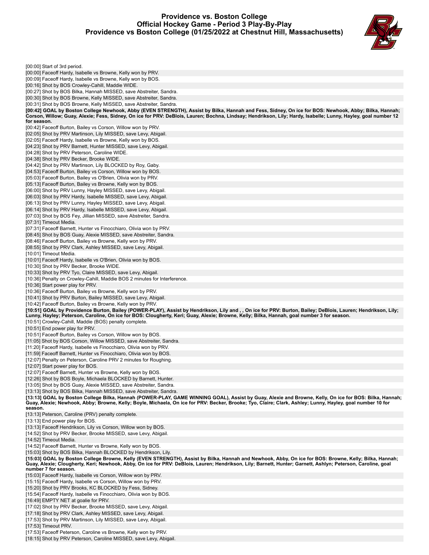## **Providence vs. Boston College Official Hockey Game - Period 3 Play-By-Play Providence vs Boston College (01/25/2022 at Chestnut Hill, Massachusetts)**



| [00:00] Start of 3rd period.                                                                                                                                                                                                                                                                                         |
|----------------------------------------------------------------------------------------------------------------------------------------------------------------------------------------------------------------------------------------------------------------------------------------------------------------------|
|                                                                                                                                                                                                                                                                                                                      |
| [00:00] Faceoff Hardy, Isabelle vs Browne, Kelly won by PRV.                                                                                                                                                                                                                                                         |
| [00:09] Faceoff Hardy, Isabelle vs Browne, Kelly won by BOS.<br>[00:16] Shot by BOS Crowley-Cahill, Maddie WIDE.                                                                                                                                                                                                     |
| [00:27] Shot by BOS Bilka, Hannah MISSED, save Abstreiter, Sandra.                                                                                                                                                                                                                                                   |
| [00:30] Shot by BOS Browne, Kelly MISSED, save Abstreiter, Sandra.                                                                                                                                                                                                                                                   |
| [00:31] Shot by BOS Browne, Kelly MISSED, save Abstreiter, Sandra.                                                                                                                                                                                                                                                   |
| [00:42] GOAL by Boston College Newhook, Abby (EVEN STRENGTH), Assist by Bilka, Hannah and Fess, Sidney, On ice for BOS: Newhook, Abby; Bilka, Hannah;                                                                                                                                                                |
| Corson, Willow; Guay, Alexie; Fess, Sidney, On ice for PRV: DeBlois, Lauren; Bochna, Lindsay; Hendrikson, Lily; Hardy, Isabelle; Lunny, Hayley, goal number 12<br>for season.                                                                                                                                        |
| [00:42] Faceoff Burton, Bailey vs Corson, Willow won by PRV.                                                                                                                                                                                                                                                         |
| [02:05] Shot by PRV Martinson, Lily MISSED, save Levy, Abigail.                                                                                                                                                                                                                                                      |
| [02:05] Faceoff Hardy, Isabelle vs Browne, Kelly won by BOS.                                                                                                                                                                                                                                                         |
| [04:23] Shot by PRV Barnett, Hunter MISSED, save Levy, Abigail.                                                                                                                                                                                                                                                      |
| [04:28] Shot by PRV Peterson, Caroline WIDE.                                                                                                                                                                                                                                                                         |
| [04:38] Shot by PRV Becker, Brooke WIDE.<br>[04:42] Shot by PRV Martinson, Lily BLOCKED by Roy, Gaby.                                                                                                                                                                                                                |
| [04:53] Faceoff Burton, Bailey vs Corson, Willow won by BOS.                                                                                                                                                                                                                                                         |
| [05:03] Faceoff Burton, Bailey vs O'Brien, Olivia won by PRV.                                                                                                                                                                                                                                                        |
| [05:13] Faceoff Burton, Bailey vs Browne, Kelly won by BOS.                                                                                                                                                                                                                                                          |
| [06:00] Shot by PRV Lunny, Hayley MISSED, save Levy, Abigail.                                                                                                                                                                                                                                                        |
| [06:03] Shot by PRV Hardy, Isabelle MISSED, save Levy, Abigail.                                                                                                                                                                                                                                                      |
| [06:13] Shot by PRV Lunny, Hayley MISSED, save Levy, Abigail.                                                                                                                                                                                                                                                        |
| [06:14] Shot by PRV Hardy, Isabelle MISSED, save Levy, Abigail.<br>[07:03] Shot by BOS Fey, Jillian MISSED, save Abstreiter, Sandra.                                                                                                                                                                                 |
| [07:31] Timeout Media.                                                                                                                                                                                                                                                                                               |
| [07:31] Faceoff Barnett, Hunter vs Finocchiaro, Olivia won by PRV.                                                                                                                                                                                                                                                   |
| [08:45] Shot by BOS Guay, Alexie MISSED, save Abstreiter, Sandra.                                                                                                                                                                                                                                                    |
| [08:46] Faceoff Burton, Bailey vs Browne, Kelly won by PRV.                                                                                                                                                                                                                                                          |
| [08:55] Shot by PRV Clark, Ashley MISSED, save Levy, Abigail.                                                                                                                                                                                                                                                        |
| [10:01] Timeout Media.                                                                                                                                                                                                                                                                                               |
| [10:01] Faceoff Hardy, Isabelle vs O'Brien, Olivia won by BOS.<br>[10:30] Shot by PRV Becker, Brooke WIDE.                                                                                                                                                                                                           |
| [10:33] Shot by PRV Tyo, Claire MISSED, save Levy, Abigail.                                                                                                                                                                                                                                                          |
| [10:36] Penalty on Crowley-Cahill, Maddie BOS 2 minutes for Interference.                                                                                                                                                                                                                                            |
| [10:36] Start power play for PRV.                                                                                                                                                                                                                                                                                    |
| [10:36] Faceoff Burton, Bailey vs Browne, Kelly won by PRV.                                                                                                                                                                                                                                                          |
| [10:41] Shot by PRV Burton, Bailey MISSED, save Levy, Abigail.                                                                                                                                                                                                                                                       |
| [10:42] Faceoff Burton, Bailey vs Browne, Kelly won by PRV.<br>[10:51] GOAL by Providence Burton, Bailey (POWER-PLAY), Assist by Hendrikson, Lily and,, On ice for PRV: Burton, Bailey; DeBlois, Lauren; Hendrikson, Lily;                                                                                           |
| Lunny, Hayley; Peterson, Caroline, On ice for BOS: Clougherty, Keri; Guay, Alexie; Browne, Kelly; Bilka, Hannah, goal number 3 for season.                                                                                                                                                                           |
| [10:51] Crowley-Cahill, Maddie (BOS) penalty complete.                                                                                                                                                                                                                                                               |
| [10:51] End power play for PRV.                                                                                                                                                                                                                                                                                      |
|                                                                                                                                                                                                                                                                                                                      |
| [10:51] Faceoff Burton, Bailey vs Corson, Willow won by BOS.                                                                                                                                                                                                                                                         |
| [11:05] Shot by BOS Corson, Willow MISSED, save Abstreiter, Sandra.                                                                                                                                                                                                                                                  |
| [11:20] Faceoff Hardy, Isabelle vs Finocchiaro, Olivia won by PRV.                                                                                                                                                                                                                                                   |
| [11:59] Faceoff Barnett, Hunter vs Finocchiaro, Olivia won by BOS.                                                                                                                                                                                                                                                   |
| [12:07] Penalty on Peterson, Caroline PRV 2 minutes for Roughing.<br>[12:07] Start power play for BOS.                                                                                                                                                                                                               |
| [12:07] Faceoff Barnett, Hunter vs Browne, Kelly won by BOS.                                                                                                                                                                                                                                                         |
| [12:26] Shot by BOS Boyle, Michaela BLOCKED by Barnett, Hunter.                                                                                                                                                                                                                                                      |
| [13:05] Shot by BOS Guay, Alexie MISSED, save Abstreiter, Sandra.                                                                                                                                                                                                                                                    |
| [13:13] Shot by BOS Bilka, Hannah MISSED, save Abstreiter, Sandra.                                                                                                                                                                                                                                                   |
| [13:13] GOAL by Boston College Bilka, Hannah (POWER-PLAY, GAME WINNING GOAL), Assist by Guay, Alexie and Browne, Kelly, On ice for BOS: Bilka, Hannah;<br>Guay, Alexie; Newhook, Abby; Browne, Kelly; Boyle, Michaela, On ice for PRV: Becker, Brooke; Tyo, Claire; Clark, Ashley; Lunny, Hayley, goal number 10 for |
| season.                                                                                                                                                                                                                                                                                                              |
| [13:13] Peterson, Caroline (PRV) penalty complete.                                                                                                                                                                                                                                                                   |
| [13:13] End power play for BOS.                                                                                                                                                                                                                                                                                      |
| [13:13] Faceoff Hendrikson, Lily vs Corson, Willow won by BOS.                                                                                                                                                                                                                                                       |
| [14:52] Shot by PRV Becker, Brooke MISSED, save Levy, Abigail.<br>[14:52] Timeout Media.                                                                                                                                                                                                                             |
| [14:52] Faceoff Barnett, Hunter vs Browne, Kelly won by BOS.                                                                                                                                                                                                                                                         |
| [15:03] Shot by BOS Bilka, Hannah BLOCKED by Hendrikson, Lily.                                                                                                                                                                                                                                                       |
| [15:03] GOAL by Boston College Browne, Kelly (EVEN STRENGTH), Assist by Bilka, Hannah and Newhook, Abby, On ice for BOS: Browne, Kelly; Bilka, Hannah;                                                                                                                                                               |
| Guay, Alexie; Clougherty, Keri; Newhook, Abby, On ice for PRV: DeBlois, Lauren; Hendrikson, Lily; Barnett, Hunter; Garnett, Ashlyn; Peterson, Caroline, goal<br>number 7 for season.                                                                                                                                 |
| [15:03] Faceoff Hardy, Isabelle vs Corson, Willow won by PRV.                                                                                                                                                                                                                                                        |
| [15:15] Faceoff Hardy, Isabelle vs Corson, Willow won by PRV.                                                                                                                                                                                                                                                        |
| [15:20] Shot by PRV Brooks, KC BLOCKED by Fess, Sidney.                                                                                                                                                                                                                                                              |
| [15:54] Faceoff Hardy, Isabelle vs Finocchiaro, Olivia won by BOS.                                                                                                                                                                                                                                                   |
| [16:49] EMPTY NET at goalie for PRV.                                                                                                                                                                                                                                                                                 |
| [17:02] Shot by PRV Becker, Brooke MISSED, save Levy, Abigail.                                                                                                                                                                                                                                                       |
| [17:18] Shot by PRV Clark, Ashley MISSED, save Levy, Abigail.<br>[17:53] Shot by PRV Martinson, Lily MISSED, save Levy, Abigail.                                                                                                                                                                                     |
| [17:53] Timeout PRV.                                                                                                                                                                                                                                                                                                 |

[18:15] Shot by PRV Peterson, Caroline MISSED, save Levy, Abigail.